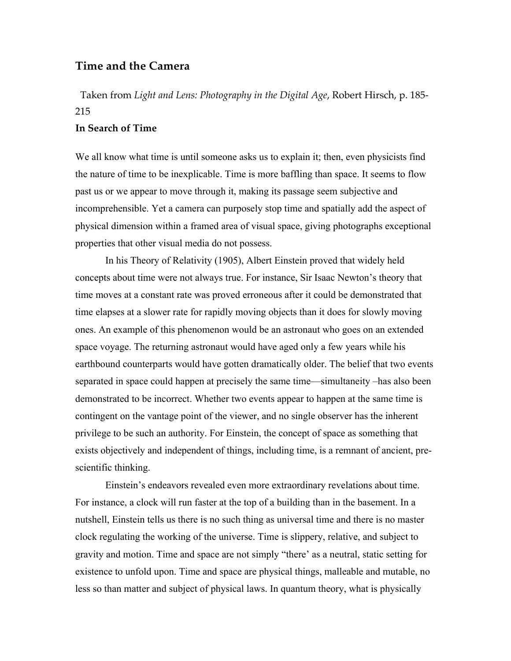## **Time and the Camera**

Taken from *Light and Lens: Photography in the Digital Age*, Robert Hirsch, p. 185- 215

## **In Search of Time**

We all know what time is until someone asks us to explain it; then, even physicists find the nature of time to be inexplicable. Time is more baffling than space. It seems to flow past us or we appear to move through it, making its passage seem subjective and incomprehensible. Yet a camera can purposely stop time and spatially add the aspect of physical dimension within a framed area of visual space, giving photographs exceptional properties that other visual media do not possess.

In his Theory of Relativity (1905), Albert Einstein proved that widely held concepts about time were not always true. For instance, Sir Isaac Newton's theory that time moves at a constant rate was proved erroneous after it could be demonstrated that time elapses at a slower rate for rapidly moving objects than it does for slowly moving ones. An example of this phenomenon would be an astronaut who goes on an extended space voyage. The returning astronaut would have aged only a few years while his earthbound counterparts would have gotten dramatically older. The belief that two events separated in space could happen at precisely the same time—simultaneity –has also been demonstrated to be incorrect. Whether two events appear to happen at the same time is contingent on the vantage point of the viewer, and no single observer has the inherent privilege to be such an authority. For Einstein, the concept of space as something that exists objectively and independent of things, including time, is a remnant of ancient, prescientific thinking.

Einstein's endeavors revealed even more extraordinary revelations about time. For instance, a clock will run faster at the top of a building than in the basement. In a nutshell, Einstein tells us there is no such thing as universal time and there is no master clock regulating the working of the universe. Time is slippery, relative, and subject to gravity and motion. Time and space are not simply "there' as a neutral, static setting for existence to unfold upon. Time and space are physical things, malleable and mutable, no less so than matter and subject of physical laws. In quantum theory, what is physically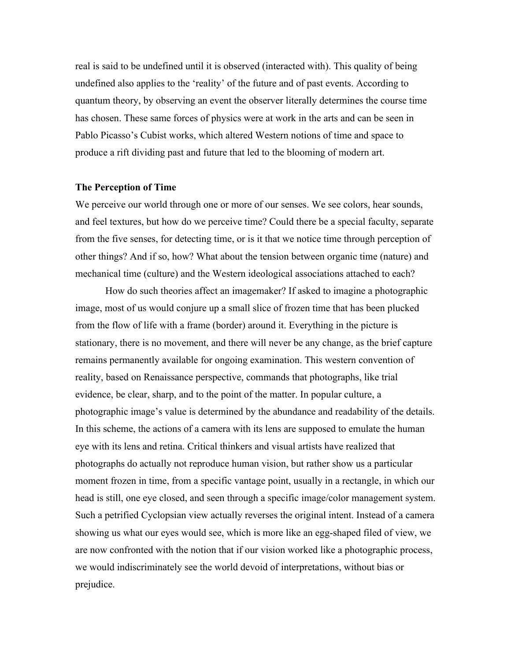real is said to be undefined until it is observed (interacted with). This quality of being undefined also applies to the 'reality' of the future and of past events. According to quantum theory, by observing an event the observer literally determines the course time has chosen. These same forces of physics were at work in the arts and can be seen in Pablo Picasso's Cubist works, which altered Western notions of time and space to produce a rift dividing past and future that led to the blooming of modern art.

## **The Perception of Time**

We perceive our world through one or more of our senses. We see colors, hear sounds, and feel textures, but how do we perceive time? Could there be a special faculty, separate from the five senses, for detecting time, or is it that we notice time through perception of other things? And if so, how? What about the tension between organic time (nature) and mechanical time (culture) and the Western ideological associations attached to each?

How do such theories affect an imagemaker? If asked to imagine a photographic image, most of us would conjure up a small slice of frozen time that has been plucked from the flow of life with a frame (border) around it. Everything in the picture is stationary, there is no movement, and there will never be any change, as the brief capture remains permanently available for ongoing examination. This western convention of reality, based on Renaissance perspective, commands that photographs, like trial evidence, be clear, sharp, and to the point of the matter. In popular culture, a photographic image's value is determined by the abundance and readability of the details. In this scheme, the actions of a camera with its lens are supposed to emulate the human eye with its lens and retina. Critical thinkers and visual artists have realized that photographs do actually not reproduce human vision, but rather show us a particular moment frozen in time, from a specific vantage point, usually in a rectangle, in which our head is still, one eye closed, and seen through a specific image/color management system. Such a petrified Cyclopsian view actually reverses the original intent. Instead of a camera showing us what our eyes would see, which is more like an egg-shaped filed of view, we are now confronted with the notion that if our vision worked like a photographic process, we would indiscriminately see the world devoid of interpretations, without bias or prejudice.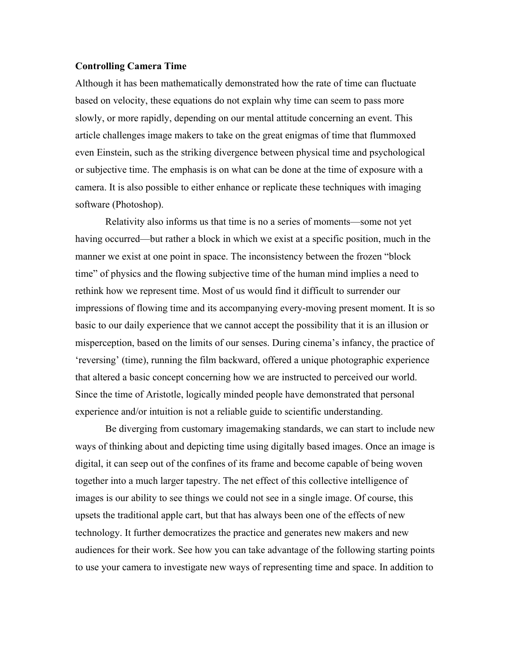## **Controlling Camera Time**

Although it has been mathematically demonstrated how the rate of time can fluctuate based on velocity, these equations do not explain why time can seem to pass more slowly, or more rapidly, depending on our mental attitude concerning an event. This article challenges image makers to take on the great enigmas of time that flummoxed even Einstein, such as the striking divergence between physical time and psychological or subjective time. The emphasis is on what can be done at the time of exposure with a camera. It is also possible to either enhance or replicate these techniques with imaging software (Photoshop).

Relativity also informs us that time is no a series of moments—some not yet having occurred—but rather a block in which we exist at a specific position, much in the manner we exist at one point in space. The inconsistency between the frozen "block time" of physics and the flowing subjective time of the human mind implies a need to rethink how we represent time. Most of us would find it difficult to surrender our impressions of flowing time and its accompanying every-moving present moment. It is so basic to our daily experience that we cannot accept the possibility that it is an illusion or misperception, based on the limits of our senses. During cinema's infancy, the practice of 'reversing' (time), running the film backward, offered a unique photographic experience that altered a basic concept concerning how we are instructed to perceived our world. Since the time of Aristotle, logically minded people have demonstrated that personal experience and/or intuition is not a reliable guide to scientific understanding.

Be diverging from customary imagemaking standards, we can start to include new ways of thinking about and depicting time using digitally based images. Once an image is digital, it can seep out of the confines of its frame and become capable of being woven together into a much larger tapestry. The net effect of this collective intelligence of images is our ability to see things we could not see in a single image. Of course, this upsets the traditional apple cart, but that has always been one of the effects of new technology. It further democratizes the practice and generates new makers and new audiences for their work. See how you can take advantage of the following starting points to use your camera to investigate new ways of representing time and space. In addition to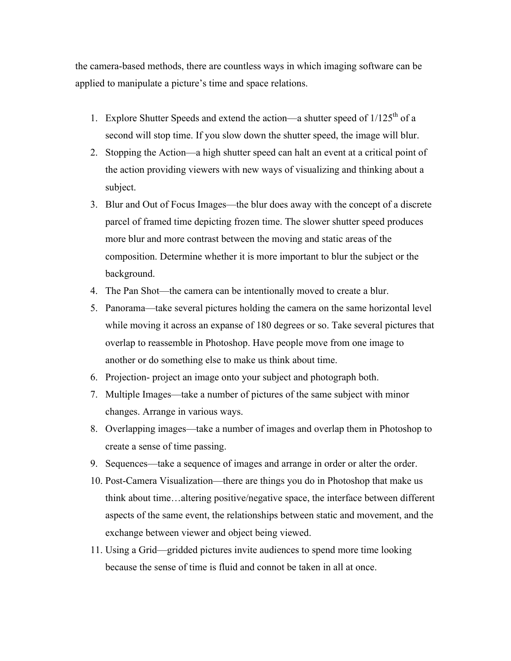the camera-based methods, there are countless ways in which imaging software can be applied to manipulate a picture's time and space relations.

- 1. Explore Shutter Speeds and extend the action—a shutter speed of  $1/125<sup>th</sup>$  of a second will stop time. If you slow down the shutter speed, the image will blur.
- 2. Stopping the Action—a high shutter speed can halt an event at a critical point of the action providing viewers with new ways of visualizing and thinking about a subject.
- 3. Blur and Out of Focus Images—the blur does away with the concept of a discrete parcel of framed time depicting frozen time. The slower shutter speed produces more blur and more contrast between the moving and static areas of the composition. Determine whether it is more important to blur the subject or the background.
- 4. The Pan Shot—the camera can be intentionally moved to create a blur.
- 5. Panorama—take several pictures holding the camera on the same horizontal level while moving it across an expanse of 180 degrees or so. Take several pictures that overlap to reassemble in Photoshop. Have people move from one image to another or do something else to make us think about time.
- 6. Projection- project an image onto your subject and photograph both.
- 7. Multiple Images—take a number of pictures of the same subject with minor changes. Arrange in various ways.
- 8. Overlapping images—take a number of images and overlap them in Photoshop to create a sense of time passing.
- 9. Sequences—take a sequence of images and arrange in order or alter the order.
- 10. Post-Camera Visualization—there are things you do in Photoshop that make us think about time…altering positive/negative space, the interface between different aspects of the same event, the relationships between static and movement, and the exchange between viewer and object being viewed.
- 11. Using a Grid—gridded pictures invite audiences to spend more time looking because the sense of time is fluid and connot be taken in all at once.